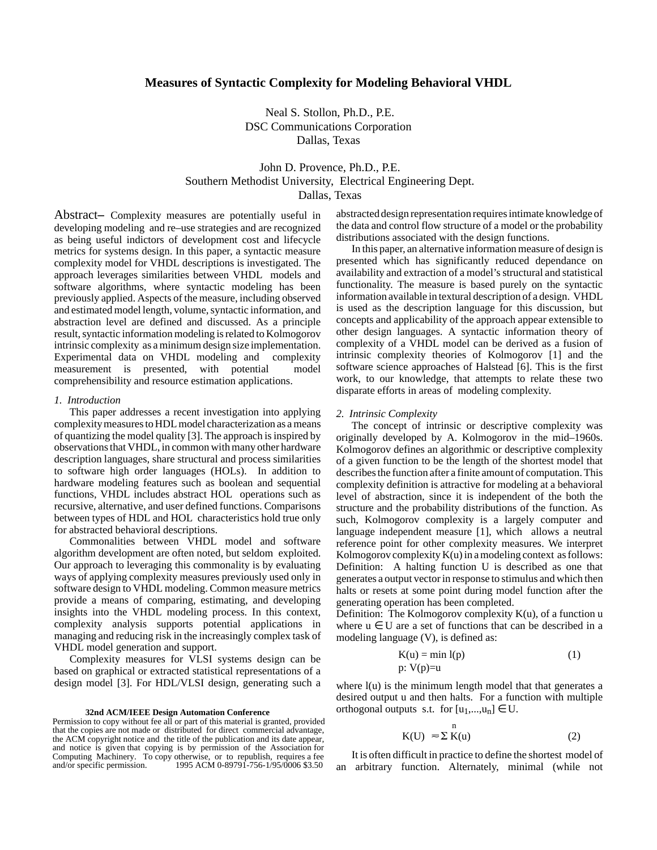# **Measures of Syntactic Complexity for Modeling Behavioral VHDL**

 Neal S. Stollon, Ph.D., P.E. DSC Communications Corporation Dallas, Texas

# John D. Provence, Ph.D., P.E. Southern Methodist University, Electrical Engineering Dept. Dallas, Texas

Abstract**–** Complexity measures are potentially useful in developing modeling and re–use strategies and are recognized as being useful indictors of development cost and lifecycle metrics for systems design. In this paper, a syntactic measure complexity model for VHDL descriptions is investigated. The approach leverages similarities between VHDL models and software algorithms, where syntactic modeling has been previously applied. Aspects of the measure, including observed and estimated model length, volume, syntactic information, and abstraction level are defined and discussed. As a principle result, syntactic information modeling is related to Kolmogorov intrinsic complexity as a minimum design size implementation. Experimental data on VHDL modeling and complexity measurement is presented, with potential model comprehensibility and resource estimation applications.

#### *1. Introduction*

This paper addresses a recent investigation into applying complexity measures to HDL model characterization as a means of quantizing the model quality [3]. The approach is inspired by observations that VHDL, in common with many other hardware description languages, share structural and process similarities to software high order languages (HOLs). In addition to hardware modeling features such as boolean and sequential functions, VHDL includes abstract HOL operations such as recursive, alternative, and user defined functions. Comparisons between types of HDL and HOL characteristics hold true only for abstracted behavioral descriptions.

Commonalities between VHDL model and software algorithm development are often noted, but seldom exploited. Our approach to leveraging this commonality is by evaluating ways of applying complexity measures previously used only in software design to VHDL modeling. Common measure metrics provide a means of comparing, estimating, and developing insights into the VHDL modeling process. In this context, complexity analysis supports potential applications in managing and reducing risk in the increasingly complex task of VHDL model generation and support.

Complexity measures for VLSI systems design can be based on graphical or extracted statistical representations of a design model [3]. For HDL/VLSI design, generating such a

#### **32nd ACM/IEEE Design Automation Conference**

Permission to copy without fee all or part of this material is granted, provided that the copies are not made or distributed for direct commercial advantage, the ACM copyright notice and the title of the publication and its date appear, and notice is given that copying is by permission of the Association for Computing Machinery. To copy otherwise, or to republish, requires a fee and/or specific permission.  $\circ$  1995 ACM 0-89791-756-1/95/0006 \$3.50  $\ddot{\circ}$  1995 ACM 0-89791-756-1/95/0006 \$3.50

abstracted design representation requires intimate knowledge of the data and control flow structure of a model or the probability distributions associated with the design functions.

In this paper, an alternative information measure of design is presented which has significantly reduced dependance on availability and extraction of a model's structural and statistical functionality. The measure is based purely on the syntactic information available in textural description of a design. VHDL is used as the description language for this discussion, but concepts and applicability of the approach appear extensible to other design languages. A syntactic information theory of complexity of a VHDL model can be derived as a fusion of intrinsic complexity theories of Kolmogorov [1] and the software science approaches of Halstead [6]. This is the first work, to our knowledge, that attempts to relate these two disparate efforts in areas of modeling complexity.

#### *2. Intrinsic Complexity*

The concept of intrinsic or descriptive complexity was originally developed by A. Kolmogorov in the mid–1960s. Kolmogorov defines an algorithmic or descriptive complexity of a given function to be the length of the shortest model that describes the function after a finite amount of computation. This complexity definition is attractive for modeling at a behavioral level of abstraction, since it is independent of the both the structure and the probability distributions of the function. As such, Kolmogorov complexity is a largely computer and language independent measure [1], which allows a neutral reference point for other complexity measures. We interpret Kolmogorov complexity  $K(u)$  in a modeling context as follows: Definition: A halting function U is described as one that generates a output vector in response to stimulus and which then halts or resets at some point during model function after the generating operation has been completed.

Definition: The Kolmogorov complexity  $K(u)$ , of a function u where  $u \in U$  are a set of functions that can be described in a modeling language (V), is defined as:

$$
K(u) = \min l(p)
$$
  
p: V(p)=u (1)

where  $l(u)$  is the minimum length model that that generates a desired output u and then halts. For a function with multiple orthogonal outputs s.t. for  $[u_1,...,u_n] \in U$ .

n

$$
K(U) \approx \sum_{n=1}^{n} K(u) \tag{2}
$$

 It is often difficult in practice to define the shortest model of an arbitrary function. Alternately, minimal (while not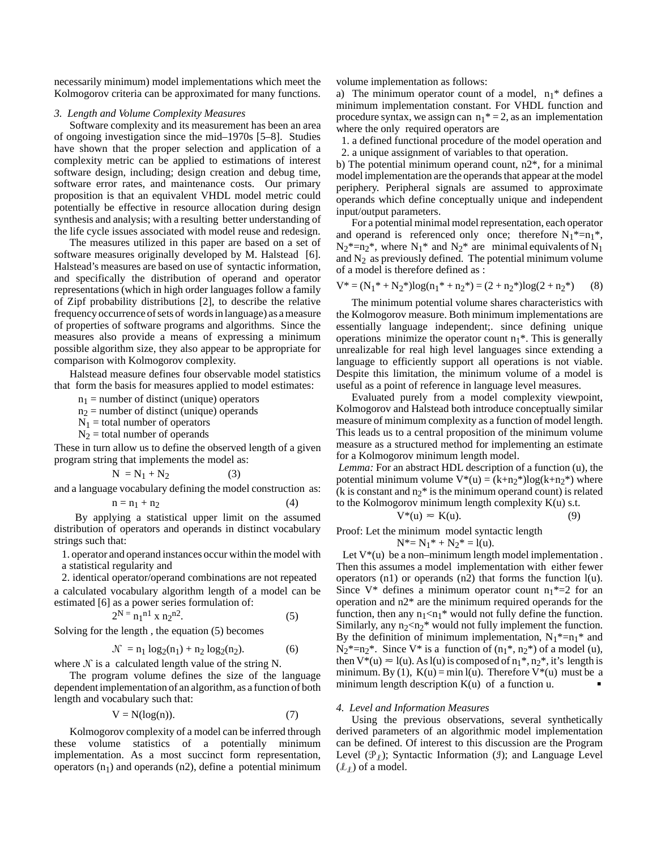necessarily minimum) model implementations which meet the Kolmogorov criteria can be approximated for many functions.

## *3. Length and Volume Complexity Measures*

Software complexity and its measurement has been an area of ongoing investigation since the mid–1970s [5–8]. Studies have shown that the proper selection and application of a complexity metric can be applied to estimations of interest software design, including; design creation and debug time, software error rates, and maintenance costs. Our primary proposition is that an equivalent VHDL model metric could potentially be effective in resource allocation during design synthesis and analysis; with a resulting better understanding of the life cycle issues associated with model reuse and redesign.

The measures utilized in this paper are based on a set of software measures originally developed by M. Halstead [6]. Halstead's measures are based on use of syntactic information, and specifically the distribution of operand and operator representations (which in high order languages follow a family of Zipf probability distributions [2], to describe the relative frequency occurrence of sets of words in language) as a measure of properties of software programs and algorithms. Since the measures also provide a means of expressing a minimum possible algorithm size, they also appear to be appropriate for comparison with Kolmogorov complexity.

Halstead measure defines four observable model statistics that form the basis for measures applied to model estimates:

 $n_1$  = number of distinct (unique) operators

 $n_2$  = number of distinct (unique) operands

 $N_1$  = total number of operators

 $N_2$  = total number of operands

These in turn allow us to define the observed length of a given program string that implements the model as:

$$
N = N_1 + N_2 \tag{3}
$$

and a language vocabulary defining the model construction as:

$$
n = n_1 + n_2 \tag{4}
$$

 By applying a statistical upper limit on the assumed distribution of operators and operands in distinct vocabulary strings such that:

1. operator and operand instances occur within the model with a statistical regularity and

2. identical operator/operand combinations are not repeated a calculated vocabulary algorithm length of a model can be estimated [6] as a power series formulation of:

$$
N = n_1 n^1 x n_2 n^2.
$$
 (5)

Solving for the length , the equation (5) becomes

 $\mathcal{D}$ 

$$
\mathcal{N} = n_1 \log_2(n_1) + n_2 \log_2(n_2). \tag{6}
$$

where  $N$  is a calculated length value of the string N.

The program volume defines the size of the language dependent implementation of an algorithm, as a function of both length and vocabulary such that:

$$
V = N(\log(n)).\tag{7}
$$

Kolmogorov complexity of a model can be inferred through these volume statistics of a potentially minimum implementation. As a most succinct form representation, operators  $(n_1)$  and operands  $(n_2)$ , define a potential minimum volume implementation as follows:

a) The minimum operator count of a model,  $n_1$ <sup>\*</sup> defines a minimum implementation constant. For VHDL function and procedure syntax, we assign can  $n_1^* = 2$ , as an implementation where the only required operators are

 1. a defined functional procedure of the model operation and 2. a unique assignment of variables to that operation.

b) The potential minimum operand count,  $n2^*$ , for a minimal model implementation are the operands that appear at the model periphery. Peripheral signals are assumed to approximate operands which define conceptually unique and independent input/output parameters.

 For a potential minimal model representation, each operator and operand is referenced only once; therefore  $N_1^* = n_1^*$ ,  $N_2^*$ =n<sub>2</sub>\*, where  $N_1^*$  and  $N_2^*$  are minimal equivalents of  $N_1$ and  $N_2$  as previously defined. The potential minimum volume of a model is therefore defined as :

$$
V^* = (N_1^* + N_2^*)\log(n_1^* + n_2^*) = (2 + n_2^*)\log(2 + n_2^*)
$$
 (8)

The minimum potential volume shares characteristics with the Kolmogorov measure. Both minimum implementations are essentially language independent;. since defining unique operations minimize the operator count  $n_1$ <sup>\*</sup>. This is generally unrealizable for real high level languages since extending a language to efficiently support all operations is not viable. Despite this limitation, the minimum volume of a model is useful as a point of reference in language level measures.

Evaluated purely from a model complexity viewpoint, Kolmogorov and Halstead both introduce conceptually similar measure of minimum complexity as a function of model length. This leads us to a central proposition of the minimum volume measure as a structured method for implementing an estimate for a Kolmogorov minimum length model.

 *Lemma:* For an abstract HDL description of a function (u), the potential minimum volume  $V^*(u) = (k+n_2*)\log(k+n_2*)$  where (k is constant and  $n_2$ <sup>\*</sup> is the minimum operand count) is related to the Kolmogorov minimum length complexity  $K(u)$  s.t.<br>  $V^*(u) = K(u)$ . (9)

$$
V^*(u) = K(u). \tag{9}
$$

Proof: Let the minimum model syntactic length

$$
N^* = N_1^* + N_2^* = l(u).
$$

Let  $V^*(u)$  be a non–minimum length model implementation. Then this assumes a model implementation with either fewer operators  $(n1)$  or operands  $(n2)$  that forms the function  $l(u)$ . Since V\* defines a minimum operator count  $n_1$ \*=2 for an operation and n2\* are the minimum required operands for the function, then any  $n_1$ <n<sub>1</sub>\* would not fully define the function. Similarly, any  $n_2 < n_2$ <sup>\*</sup> would not fully implement the function. By the definition of minimum implementation,  $N_1^* = n_1^*$  and  $N_2^*$ =n<sub>2</sub>\*. Since V\* is a function of  $(n_1^*, n_2^*)$  of a model (u), then  $V^*(u) = l(u)$ . As  $l(u)$  is composed of  $n_1^*, n_2^*,$  it's length is minimum. By (1),  $K(u) = min l(u)$ . Therefore  $V^*(u)$  must be a minimum length description  $K(u)$  of a function u.

### *4. Level and Information Measures*

Using the previous observations, several synthetically derived parameters of an algorithmic model implementation can be defined. Of interest to this discussion are the Program Level ( $\mathcal{P}_1$ ); Syntactic Information (9); and Language Level  $(\mathcal{L}_{\ell})$  of a model.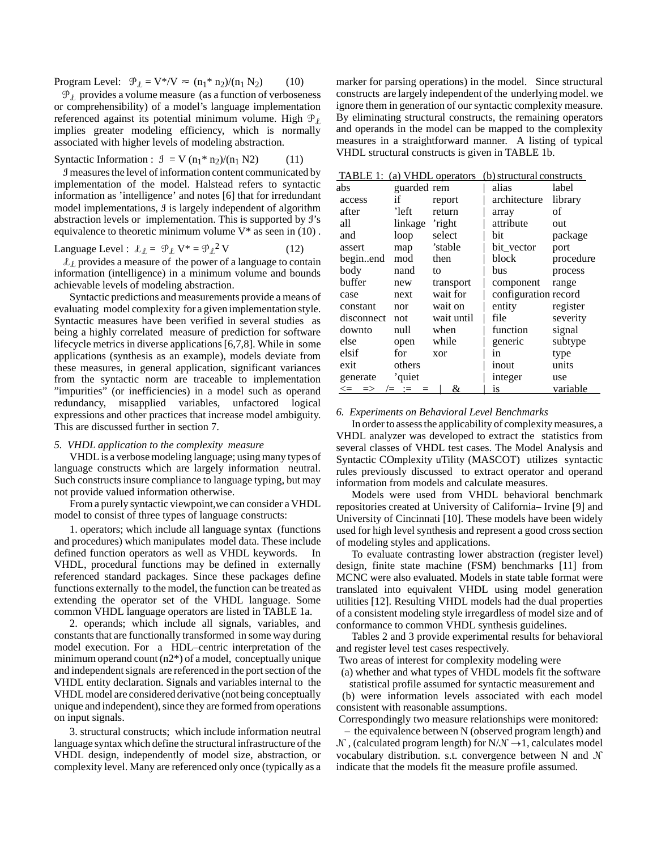Program Level:  $\mathcal{P}_k = V^* / V = (n_1 * n_2)/(n_1 N_2)$  (10)

 $\mathcal{P}_{\ell}$  provides a volume measure (as a function of verboseness or comprehensibility) of a model's language implementation referenced against its potential minimum volume. High  $\mathcal{P}_{\ell}$ implies greater modeling efficiency, which is normally associated with higher levels of modeling abstraction.

Syntactic Information :  $\mathfrak{I} = V(n_1 * n_2)/(n_1 N2)$  (11)

 measures the level of information content communicated by implementation of the model. Halstead refers to syntactic information as 'intelligence' and notes [6] that for irredundant model implementations, 9 is largely independent of algorithm abstraction levels or implementation. This is supported by  $\mathcal{F}'s$ equivalence to theoretic minimum volume  $V^*$  as seen in (10).

Language Level: 
$$
\mathcal{L}_{\ell} = \mathcal{P}_{\ell} V^* = \mathcal{P}_{\ell}^2 V
$$
 (12)

 $\mathcal{L}_{\ell}$  provides a measure of the power of a language to contain information (intelligence) in a minimum volume and bounds achievable levels of modeling abstraction.

Syntactic predictions and measurements provide a means of evaluating model complexity for a given implementation style. Syntactic measures have been verified in several studies as being a highly correlated measure of prediction for software lifecycle metrics in diverse applications [6,7,8]. While in some applications (synthesis as an example), models deviate from these measures, in general application, significant variances from the syntactic norm are traceable to implementation "impurities" (or inefficiencies) in a model such as operand redundancy, misapplied variables, unfactored logical expressions and other practices that increase model ambiguity. This are discussed further in section 7.

# *5. VHDL application to the complexity measure*

VHDL is a verbose modeling language; using many types of language constructs which are largely information neutral. Such constructs insure compliance to language typing, but may not provide valued information otherwise.

 From a purely syntactic viewpoint,we can consider a VHDL model to consist of three types of language constructs:

1. operators; which include all language syntax (functions and procedures) which manipulates model data. These include defined function operators as well as VHDL keywords. In VHDL, procedural functions may be defined in externally referenced standard packages. Since these packages define functions externally to the model, the function can be treated as extending the operator set of the VHDL language. Some common VHDL language operators are listed in TABLE 1a.

2. operands; which include all signals, variables, and constants that are functionally transformed in some way during model execution. For a HDL–centric interpretation of the minimum operand count  $(n2*)$  of a model, conceptually unique and independent signals are referenced in the port section of the VHDL entity declaration. Signals and variables internal to the VHDL model are considered derivative (not being conceptually unique and independent), since they are formed from operations on input signals.

3. structural constructs; which include information neutral language syntax which define the structural infrastructure of the VHDL design, independently of model size, abstraction, or complexity level. Many are referenced only once (typically as a

marker for parsing operations) in the model. Since structural constructs are largely independent of the underlying model. we ignore them in generation of our syntactic complexity measure. By eliminating structural constructs, the remaining operators and operands in the model can be mapped to the complexity measures in a straightforward manner. A listing of typical VHDL structural constructs is given in TABLE 1b.

|  |  | TABLE 1: (a) VHDL operators (b) structural constructs |
|--|--|-------------------------------------------------------|
|  |  |                                                       |

| abs                    | guarded rem                |            | alias                | label     |
|------------------------|----------------------------|------------|----------------------|-----------|
| access                 | if                         | report     | architecture         | library   |
| after                  | 'left'                     | return     | array                | οf        |
| all                    | linkage                    | 'right     | attribute            | out       |
| and                    | loop                       | select     | bit                  | package   |
| assert                 | map                        | 'stable    | bit vector           | port      |
| beginend               | mod                        | then       | block                | procedure |
| body                   | nand                       | to         | bus                  | process   |
| buffer                 | new                        | transport  | component            | range     |
| case                   | next                       | wait for   | configuration record |           |
| constant               | nor                        | wait on    | entity               | register  |
| disconnect             | not                        | wait until | file                 | severity  |
| downto                 | null                       | when       | function             | signal    |
| else                   | open                       | while      | generic              | subtype   |
| elsif                  | for                        | xor        | in                   | type      |
| exit                   | others                     |            | inout                | units     |
| generate               | 'quiet                     |            | integer              | use       |
| $\leq =$ $\Rightarrow$ | $\prime = \cdot = \cdot =$ | &          | is                   | variable  |

### *6. Experiments on Behavioral Level Benchmarks*

 In order to assess the applicability of complexity measures, a VHDL analyzer was developed to extract the statistics from several classes of VHDL test cases. The Model Analysis and Syntactic COmplexity uTility (MASCOT) utilizes syntactic rules previously discussed to extract operator and operand information from models and calculate measures.

Models were used from VHDL behavioral benchmark repositories created at University of California– Irvine [9] and University of Cincinnati [10]. These models have been widely used for high level synthesis and represent a good cross section of modeling styles and applications.

To evaluate contrasting lower abstraction (register level) design, finite state machine (FSM) benchmarks [11] from MCNC were also evaluated. Models in state table format were translated into equivalent VHDL using model generation utilities [12]. Resulting VHDL models had the dual properties of a consistent modeling style irregardless of model size and of conformance to common VHDL synthesis guidelines.

 Tables 2 and 3 provide experimental results for behavioral and register level test cases respectively.

Two areas of interest for complexity modeling were

 (a) whether and what types of VHDL models fit the software statistical profile assumed for syntactic measurement and

 (b) were information levels associated with each model consistent with reasonable assumptions.

Correspondingly two measure relationships were monitored:

 – the equivalence between N (observed program length) and  $N$ , (calculated program length) for N/N  $\rightarrow$  1, calculates model vocabulary distribution. s.t. convergence between N and N indicate that the models fit the measure profile assumed.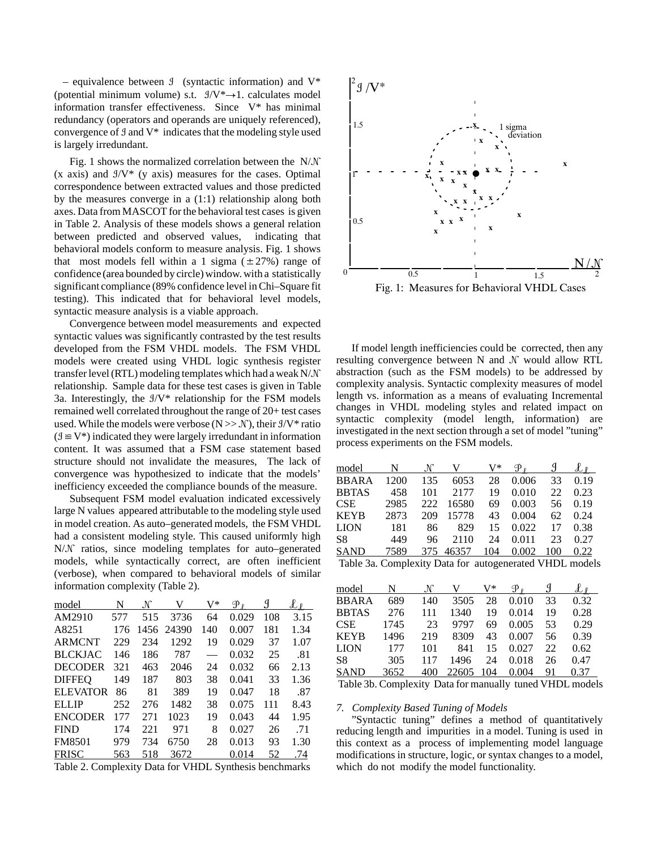– equivalence between 9 (syntactic information) and  $V^*$ (potential minimum volume) s.t.  $\frac{f}{V^*} \rightarrow 1$ . calculates model information transfer effectiveness. Since V\* has minimal redundancy (operators and operands are uniquely referenced), convergence of  $\beta$  and  $V^*$  indicates that the modeling style used is largely irredundant.

Fig. 1 shows the normalized correlation between the  $N/N$  $(x \text{ axis})$  and  $\frac{f}{V^*}$  (y axis) measures for the cases. Optimal correspondence between extracted values and those predicted by the measures converge in a (1:1) relationship along both axes. Data from MASCOT for the behavioral test cases is given in Table 2. Analysis of these models shows a general relation between predicted and observed values, indicating that behavioral models conform to measure analysis. Fig. 1 shows that most models fell within a 1 sigma  $(\pm 27\%)$  range of confidence (area bounded by circle) window. with a statistically significant compliance (89% confidence level in Chi–Square fit testing). This indicated that for behavioral level models, syntactic measure analysis is a viable approach.

Convergence between model measurements and expected syntactic values was significantly contrasted by the test results developed from the FSM VHDL models. The FSM VHDL models were created using VHDL logic synthesis register transfer level (RTL) modeling templates which had a weak  $N/N$ relationship. Sample data for these test cases is given in Table 3a. Interestingly, the  $3/\sqrt{V^*}$  relationship for the FSM models remained well correlated throughout the range of 20+ test cases used. While the models were verbose (N >>  $\mathcal{N}$ ), their  $\mathcal{J}/V^*$  ratio used. While the models were verbose (N >> N'), their  $9/\sqrt{v}$  ratio ( $9 \cong V^*$ ) indicated they were largely irredundant in information content. It was assumed that a FSM case statement based structure should not invalidate the measures, The lack of convergence was hypothesized to indicate that the models' inefficiency exceeded the compliance bounds of the measure.

Subsequent FSM model evaluation indicated excessively large N values appeared attributable to the modeling style used in model creation. As auto–generated models, the FSM VHDL had a consistent modeling style. This caused uniformly high N/N ratios, since modeling templates for auto–generated models, while syntactically correct, are often inefficient (verbose), when compared to behavioral models of similar information complexity (Table 2).

| model                             | N   | $\mathcal{N}$ | V     | $V^*$                    | $\mathfrak{P}_{\ell}$ | g   | <u>Le</u> |
|-----------------------------------|-----|---------------|-------|--------------------------|-----------------------|-----|-----------|
| AM2910                            | 577 | 515           | 3736  | 64                       | 0.029                 | 108 | 3.15      |
| A8251                             | 176 | 1456          | 24390 | 140                      | 0.007                 | 181 | 1.34      |
| <b>ARMCNT</b>                     | 229 | 234           | 1292  | 19                       | 0.029                 | 37  | 1.07      |
| <b>BLCKJAC</b>                    | 146 | 186           | 787   | $\overline{\phantom{0}}$ | 0.032                 | 25  | .81       |
| <b>DECODER</b>                    | 321 | 463           | 2046  | 24                       | 0.032                 | 66  | 2.13      |
| <b>DIFFEO</b>                     | 149 | 187           | 803   | 38                       | 0.041                 | 33  | 1.36      |
| <b>ELEVATOR</b>                   | 86  | 81            | 389   | 19                       | 0.047                 | 18  | .87       |
| <b>ELLIP</b>                      | 252 | 276           | 1482  | 38                       | 0.075                 | 111 | 8.43      |
| <b>ENCODER</b>                    | 177 | 271           | 1023  | 19                       | 0.043                 | 44  | 1.95      |
| <b>FIND</b>                       | 174 | 221           | 971   | 8                        | 0.027                 | 26  | .71       |
| <b>FM8501</b>                     | 979 | 734           | 6750  | 28                       | 0.013                 | 93  | 1.30      |
| <b>FRISC</b>                      | 563 | 518           | 3672  |                          | 0.014                 | 52  | .74       |
| m 11 A A 1 ' D C WIDI A 1 ' 1 1 1 |     |               |       |                          |                       |     |           |

Table 2. Complexity Data for VHDL Synthesis benchmarks



If model length inefficiencies could be corrected, then any resulting convergence between  $N$  and  $N$  would allow RTL abstraction (such as the FSM models) to be addressed by complexity analysis. Syntactic complexity measures of model length vs. information as a means of evaluating Incremental changes in VHDL modeling styles and related impact on syntactic complexity (model length, information) are investigated in the next section through a set of model "tuning" process experiments on the FSM models.

| model                                                   | N    | N.  | V     | $V^*$ | $\mathfrak{P}_\mathfrak{p}$   | 9.  |         |
|---------------------------------------------------------|------|-----|-------|-------|-------------------------------|-----|---------|
| <b>BBARA</b>                                            | 1200 | 135 | 6053  | 28    | 0.006                         | 33  | 0.19    |
| <b>BBTAS</b>                                            | 458  | 101 | 2177  | 19    | 0.010                         | 22  | 0.23    |
| CSE                                                     | 2985 | 222 | 16580 | 69    | 0.003                         | 56  | 0.19    |
| <b>KEYB</b>                                             | 2873 | 209 | 15778 | 43    | 0.004                         | 62  | 0.24    |
| LION                                                    | 181  | 86  | 829   | 15    | 0.022                         | 17  | 0.38    |
| S8                                                      | 449  | 96  | 2110  | 24    | 0.011                         | 23  | 0.27    |
| SAND                                                    | 7589 | 375 | 46357 | 104   | 0.002                         | 100 | 0.22    |
| Table 3a. Complexity Data for autogenerated VHDL models |      |     |       |       |                               |     |         |
|                                                         |      |     |       |       |                               |     |         |
| model                                                   | N    | N.  |       | V*    | $\mathfrak{P}_{\mathfrak{p}}$ | .9  |         |
| RRAR A                                                  | 689  | 140 | 3505  | 28    | 010                           | 33  | 32<br>Ω |

|       | $\cdots$ |     |          | $\mathcal{O}$ , and $\mathcal{O}$ , and $\mathcal{O}$ , and $\mathcal{O}$ |    | $\sim$ 1 |
|-------|----------|-----|----------|---------------------------------------------------------------------------|----|----------|
| BBARA | 689      | 140 |          | 3505 28 0.010 33                                                          |    | 0.32     |
| BBTAS | 276      | 111 | 1340     | 19 0.014                                                                  | 19 | 0.28     |
| CSE   | 1745     | 23  | 9797     | 69 0.005 53                                                               |    | 0.29     |
| KEYB  | 1496     | 219 | 8309     | 43 0.007 56                                                               |    | 0.39     |
| LION  | 177      | 101 | 841      | 15 0.027 22                                                               |    | 0.62     |
| S8 -  | 305      |     | 117 1496 | 24 0.018                                                                  | 26 | 0.47     |
| SAND  | 3652     |     |          | 400 22605 104 0.004 91 0.37                                               |    |          |

Table 3b. Complexity Data for manually tuned VHDL models

# *7. Complexity Based Tuning of Models*

"Syntactic tuning" defines a method of quantitatively reducing length and impurities in a model. Tuning is used in this context as a process of implementing model language modifications in structure, logic, or syntax changes to a model, which do not modify the model functionality.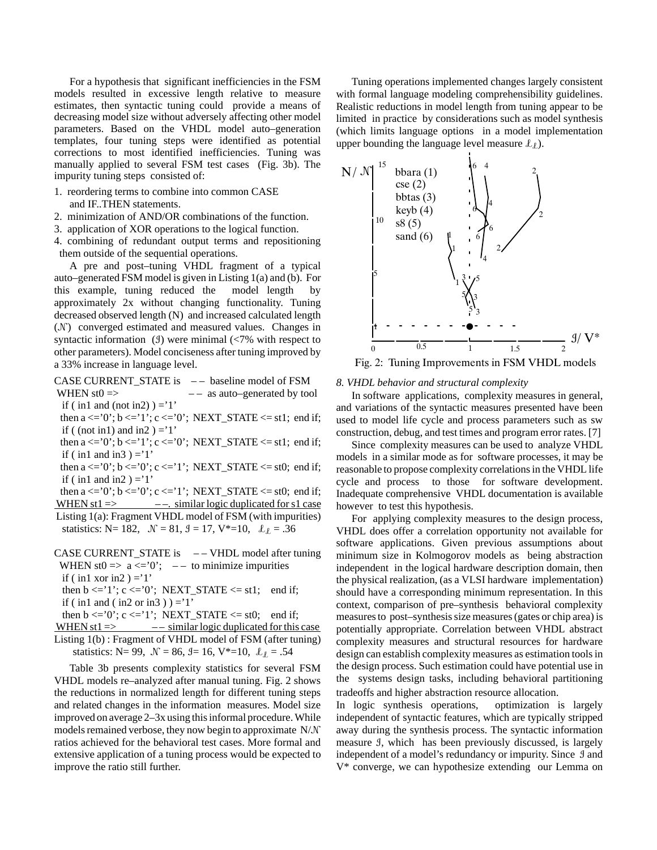For a hypothesis that significant inefficiencies in the FSM models resulted in excessive length relative to measure estimates, then syntactic tuning could provide a means of decreasing model size without adversely affecting other model parameters. Based on the VHDL model auto–generation templates, four tuning steps were identified as potential corrections to most identified inefficiencies. Tuning was manually applied to several FSM test cases (Fig. 3b). The impurity tuning steps consisted of:

- 1. reordering terms to combine into common CASE and IF..THEN statements.
- 2. minimization of AND/OR combinations of the function.
- 3. application of XOR operations to the logical function.
- 4. combining of redundant output terms and repositioning them outside of the sequential operations.

A pre and post–tuning VHDL fragment of a typical auto–generated FSM model is given in Listing 1(a) and (b). For this example, tuning reduced the model length by approximately 2x without changing functionality. Tuning decreased observed length (N) and increased calculated length  $(N)$  converged estimated and measured values. Changes in syntactic information  $(9)$  were minimal  $\left( \langle 7\% \right|$  with respect to other parameters). Model conciseness after tuning improved by a 33% increase in language level.

CASE CURRENT\_STATE is  $-$  – baseline model of FSM WHEN  $\text{st0} \Rightarrow$  -- as auto–generated by tool if ( in1 and (not in2) ) =  $1'$ 

then  $a \leq 0$ ';  $b \leq 1$ ';  $c \leq 0$ '; NEXT\_STATE  $\leq$  st1; end if; if ( (not in1) and in2) =  $1'$ 

then  $a \le 0$ ;  $b \le 1$ ;  $c \le 0$ ; NEXT\_STATE  $\le$  st1; end if; if (in1 and in3) =  $1'$ 

then  $a \leq 0$ ;  $b \leq 0$ ;  $c \leq 1$ ; NEXT\_STATE  $\leq$  st0; end if; if (in1 and in2) =  $1'$ 

then  $a \leq 0$ ;  $b \leq 0$ ;  $c \leq 1$ ; NEXT\_STATE  $\leq$  st0; end if;

WHEN st1  $\Rightarrow$  -- similar logic duplicated for s1 case Listing 1(a): Fragment VHDL model of FSM (with impurities) statistics: N= 182,  $\mathcal{N} = 81, \mathcal{J} = 17, \mathcal{V}^* = 10, \mathcal{L}_L = .36$ 

CASE CURRENT\_STATE is – – VHDL model after tuning WHEN  $\text{st0} \Rightarrow \text{a} \leq 0$ ; -- to minimize impurities if ( in1 xor in2 ) =  $1'$ 

then  $b \leq 1$ ';  $c \leq 0$ '; NEXT\_STATE  $\leq$  st1; end if; if ( in1 and ( in2 or in3 ) ) =  $1'$ 

then  $b \leq 0$ ';  $c \leq 1$ '; NEXT\_STATE  $\leq$  st0; end if;

WHEN st1  $\Rightarrow$  -- similar logic duplicated for this case Listing 1(b) : Fragment of VHDL model of FSM (after tuning) statistics: N= 99,  $\mathcal{N} = 86$ , 9= 16, V\*=10,  $\mathcal{L}_{\ell} = .54$ 

 Table 3b presents complexity statistics for several FSM VHDL models re–analyzed after manual tuning. Fig. 2 shows the reductions in normalized length for different tuning steps and related changes in the information measures. Model size improved on average 2–3x using this informal procedure. While models remained verbose, they now begin to approximate  $N/N$ ratios achieved for the behavioral test cases. More formal and extensive application of a tuning process would be expected to improve the ratio still further.

Tuning operations implemented changes largely consistent with formal language modeling comprehensibility guidelines. Realistic reductions in model length from tuning appear to be limited in practice by considerations such as model synthesis (which limits language options in a model implementation upper bounding the language level measure  $\mathcal{L}_{\ell}$ ).



Fig. 2: Tuning Improvements in FSM VHDL models

### *8. VHDL behavior and structural complexity*

In software applications, complexity measures in general, and variations of the syntactic measures presented have been used to model life cycle and process parameters such as sw construction, debug, and test times and program error rates. [7]

Since complexity measures can be used to analyze VHDL models in a similar mode as for software processes, it may be reasonable to propose complexity correlations in the VHDL life cycle and process to those for software development. Inadequate comprehensive VHDL documentation is available however to test this hypothesis.

For applying complexity measures to the design process, VHDL does offer a correlation opportunity not available for software applications. Given previous assumptions about minimum size in Kolmogorov models as being abstraction independent in the logical hardware description domain, then the physical realization, (as a VLSI hardware implementation) should have a corresponding minimum representation. In this context, comparison of pre–synthesis behavioral complexity measures to post–synthesis size measures (gates or chip area) is potentially appropriate. Correlation between VHDL abstract complexity measures and structural resources for hardware design can establish complexity measures as estimation tools in the design process. Such estimation could have potential use in the systems design tasks, including behavioral partitioning tradeoffs and higher abstraction resource allocation.

In logic synthesis operations, optimization is largely independent of syntactic features, which are typically stripped away during the synthesis process. The syntactic information measure 9, which has been previously discussed, is largely independent of a model's redundancy or impurity. Since 9 and V\* converge, we can hypothesize extending our Lemma on